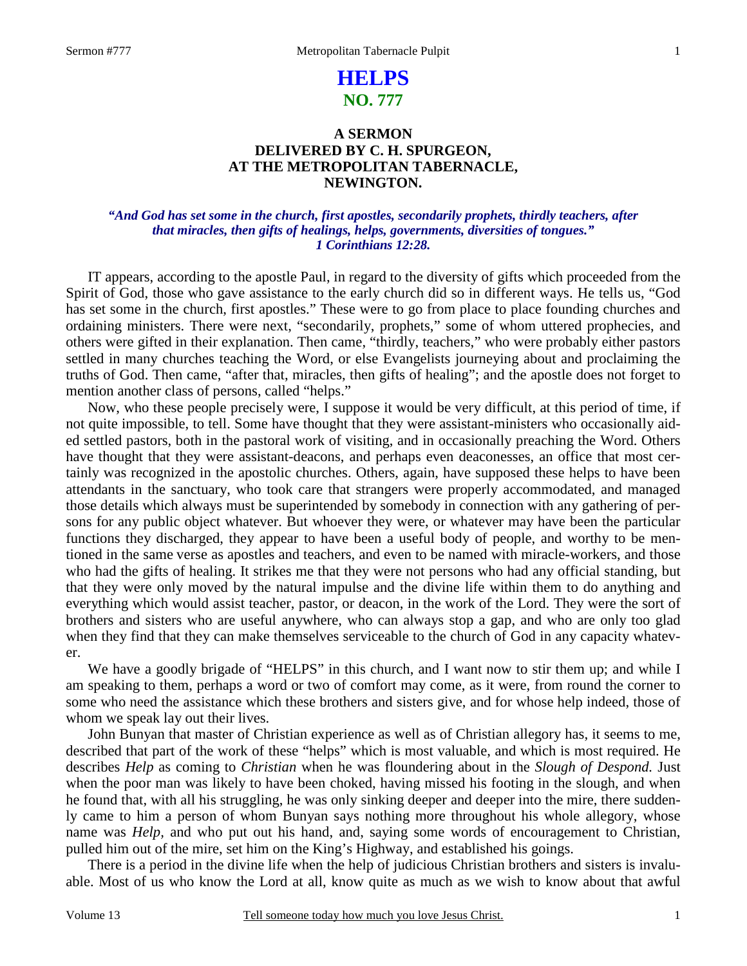### 1

# **HELPS NO. 777**

## **A SERMON DELIVERED BY C. H. SPURGEON, AT THE METROPOLITAN TABERNACLE, NEWINGTON.**

### *"And God has set some in the church, first apostles, secondarily prophets, thirdly teachers, after that miracles, then gifts of healings, helps, governments, diversities of tongues." 1 Corinthians 12:28.*

IT appears, according to the apostle Paul, in regard to the diversity of gifts which proceeded from the Spirit of God, those who gave assistance to the early church did so in different ways. He tells us, "God has set some in the church, first apostles." These were to go from place to place founding churches and ordaining ministers. There were next, "secondarily, prophets," some of whom uttered prophecies, and others were gifted in their explanation. Then came, "thirdly, teachers," who were probably either pastors settled in many churches teaching the Word, or else Evangelists journeying about and proclaiming the truths of God. Then came, "after that, miracles, then gifts of healing"; and the apostle does not forget to mention another class of persons, called "helps."

 Now, who these people precisely were, I suppose it would be very difficult, at this period of time, if not quite impossible, to tell. Some have thought that they were assistant-ministers who occasionally aided settled pastors, both in the pastoral work of visiting, and in occasionally preaching the Word. Others have thought that they were assistant-deacons, and perhaps even deaconesses, an office that most certainly was recognized in the apostolic churches. Others, again, have supposed these helps to have been attendants in the sanctuary, who took care that strangers were properly accommodated, and managed those details which always must be superintended by somebody in connection with any gathering of persons for any public object whatever. But whoever they were, or whatever may have been the particular functions they discharged, they appear to have been a useful body of people, and worthy to be mentioned in the same verse as apostles and teachers, and even to be named with miracle-workers, and those who had the gifts of healing. It strikes me that they were not persons who had any official standing, but that they were only moved by the natural impulse and the divine life within them to do anything and everything which would assist teacher, pastor, or deacon, in the work of the Lord. They were the sort of brothers and sisters who are useful anywhere, who can always stop a gap, and who are only too glad when they find that they can make themselves serviceable to the church of God in any capacity whatever.

We have a goodly brigade of "HELPS" in this church, and I want now to stir them up; and while I am speaking to them, perhaps a word or two of comfort may come, as it were, from round the corner to some who need the assistance which these brothers and sisters give, and for whose help indeed, those of whom we speak lay out their lives.

 John Bunyan that master of Christian experience as well as of Christian allegory has, it seems to me, described that part of the work of these "helps" which is most valuable, and which is most required. He describes *Help* as coming to *Christian* when he was floundering about in the *Slough of Despond.* Just when the poor man was likely to have been choked, having missed his footing in the slough, and when he found that, with all his struggling, he was only sinking deeper and deeper into the mire, there suddenly came to him a person of whom Bunyan says nothing more throughout his whole allegory, whose name was *Help,* and who put out his hand, and, saying some words of encouragement to Christian, pulled him out of the mire, set him on the King's Highway, and established his goings.

 There is a period in the divine life when the help of judicious Christian brothers and sisters is invaluable. Most of us who know the Lord at all, know quite as much as we wish to know about that awful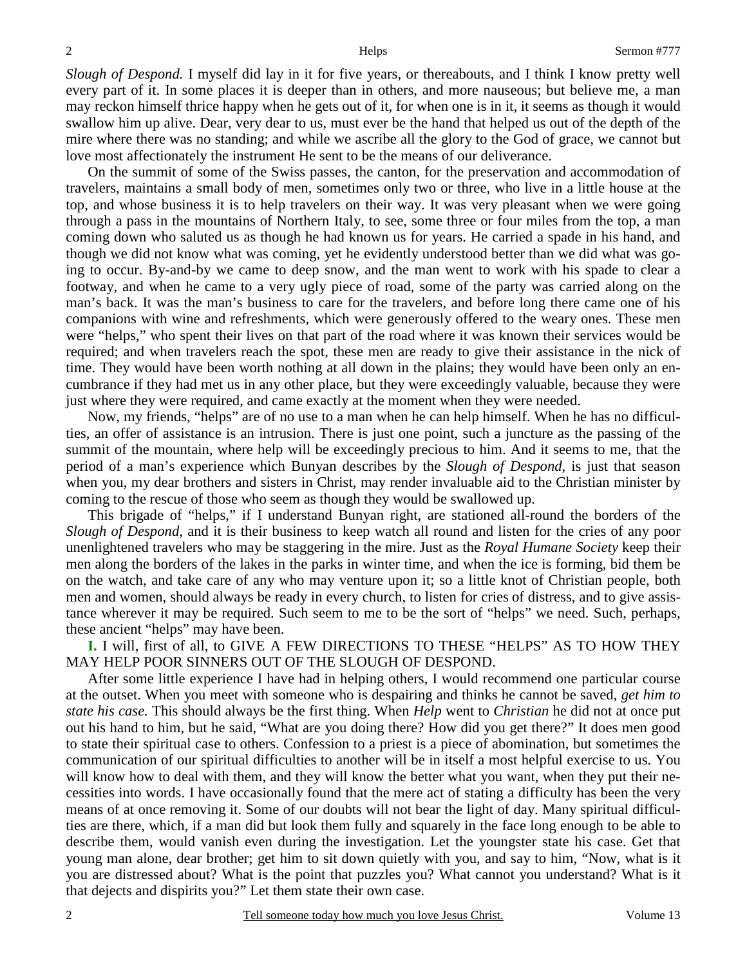*Slough of Despond.* I myself did lay in it for five years, or thereabouts, and I think I know pretty well every part of it. In some places it is deeper than in others, and more nauseous; but believe me, a man may reckon himself thrice happy when he gets out of it, for when one is in it, it seems as though it would swallow him up alive. Dear, very dear to us, must ever be the hand that helped us out of the depth of the mire where there was no standing; and while we ascribe all the glory to the God of grace, we cannot but love most affectionately the instrument He sent to be the means of our deliverance.

 On the summit of some of the Swiss passes, the canton, for the preservation and accommodation of travelers, maintains a small body of men, sometimes only two or three, who live in a little house at the top, and whose business it is to help travelers on their way. It was very pleasant when we were going through a pass in the mountains of Northern Italy, to see, some three or four miles from the top, a man coming down who saluted us as though he had known us for years. He carried a spade in his hand, and though we did not know what was coming, yet he evidently understood better than we did what was going to occur. By-and-by we came to deep snow, and the man went to work with his spade to clear a footway, and when he came to a very ugly piece of road, some of the party was carried along on the man's back. It was the man's business to care for the travelers, and before long there came one of his companions with wine and refreshments, which were generously offered to the weary ones. These men were "helps," who spent their lives on that part of the road where it was known their services would be required; and when travelers reach the spot, these men are ready to give their assistance in the nick of time. They would have been worth nothing at all down in the plains; they would have been only an encumbrance if they had met us in any other place, but they were exceedingly valuable, because they were just where they were required, and came exactly at the moment when they were needed.

 Now, my friends, "helps" are of no use to a man when he can help himself. When he has no difficulties, an offer of assistance is an intrusion. There is just one point, such a juncture as the passing of the summit of the mountain, where help will be exceedingly precious to him. And it seems to me, that the period of a man's experience which Bunyan describes by the *Slough of Despond,* is just that season when you, my dear brothers and sisters in Christ, may render invaluable aid to the Christian minister by coming to the rescue of those who seem as though they would be swallowed up.

 This brigade of "helps," if I understand Bunyan right, are stationed all-round the borders of the *Slough of Despond,* and it is their business to keep watch all round and listen for the cries of any poor unenlightened travelers who may be staggering in the mire. Just as the *Royal Humane Society* keep their men along the borders of the lakes in the parks in winter time, and when the ice is forming, bid them be on the watch, and take care of any who may venture upon it; so a little knot of Christian people, both men and women, should always be ready in every church, to listen for cries of distress, and to give assistance wherever it may be required. Such seem to me to be the sort of "helps" we need. Such, perhaps, these ancient "helps" may have been.

**I.** I will, first of all, to GIVE A FEW DIRECTIONS TO THESE "HELPS" AS TO HOW THEY MAY HELP POOR SINNERS OUT OF THE SLOUGH OF DESPOND.

 After some little experience I have had in helping others, I would recommend one particular course at the outset. When you meet with someone who is despairing and thinks he cannot be saved, *get him to state his case.* This should always be the first thing. When *Help* went to *Christian* he did not at once put out his hand to him, but he said, "What are you doing there? How did you get there?" It does men good to state their spiritual case to others. Confession to a priest is a piece of abomination, but sometimes the communication of our spiritual difficulties to another will be in itself a most helpful exercise to us. You will know how to deal with them, and they will know the better what you want, when they put their necessities into words. I have occasionally found that the mere act of stating a difficulty has been the very means of at once removing it. Some of our doubts will not bear the light of day. Many spiritual difficulties are there, which, if a man did but look them fully and squarely in the face long enough to be able to describe them, would vanish even during the investigation. Let the youngster state his case. Get that young man alone, dear brother; get him to sit down quietly with you, and say to him, "Now, what is it you are distressed about? What is the point that puzzles you? What cannot you understand? What is it that dejects and dispirits you?" Let them state their own case.

2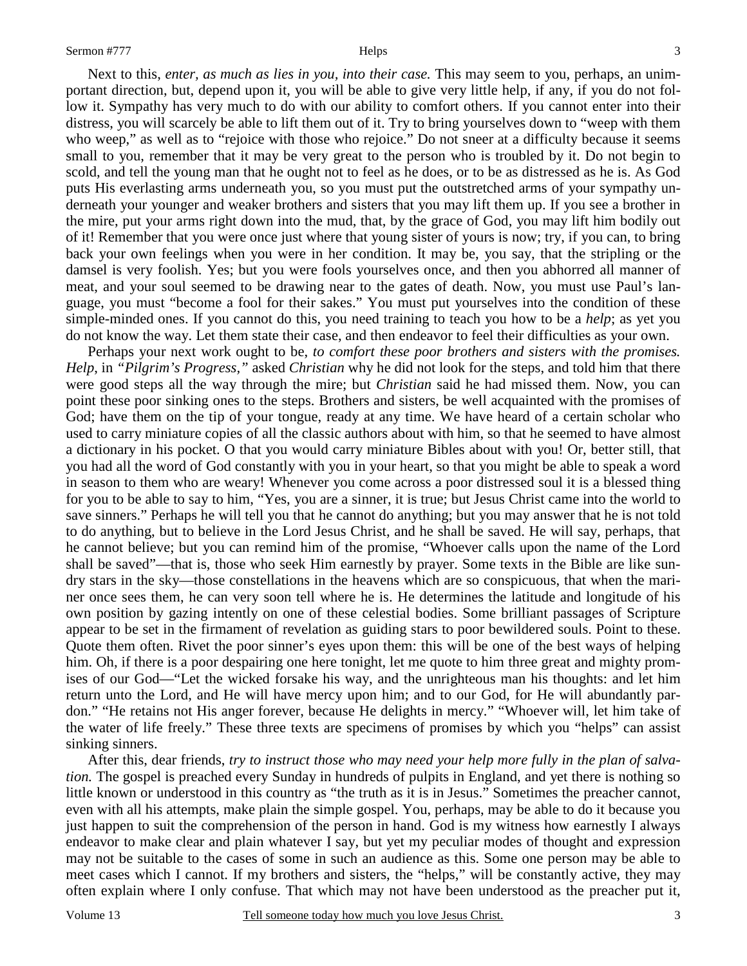Next to this, *enter, as much as lies in you, into their case.* This may seem to you, perhaps, an unimportant direction, but, depend upon it, you will be able to give very little help, if any, if you do not follow it. Sympathy has very much to do with our ability to comfort others. If you cannot enter into their distress, you will scarcely be able to lift them out of it. Try to bring yourselves down to "weep with them who weep," as well as to "rejoice with those who rejoice." Do not sneer at a difficulty because it seems small to you, remember that it may be very great to the person who is troubled by it. Do not begin to scold, and tell the young man that he ought not to feel as he does, or to be as distressed as he is. As God puts His everlasting arms underneath you, so you must put the outstretched arms of your sympathy underneath your younger and weaker brothers and sisters that you may lift them up. If you see a brother in the mire, put your arms right down into the mud, that, by the grace of God, you may lift him bodily out of it! Remember that you were once just where that young sister of yours is now; try, if you can, to bring back your own feelings when you were in her condition. It may be, you say, that the stripling or the damsel is very foolish. Yes; but you were fools yourselves once, and then you abhorred all manner of meat, and your soul seemed to be drawing near to the gates of death. Now, you must use Paul's language, you must "become a fool for their sakes." You must put yourselves into the condition of these simple-minded ones. If you cannot do this, you need training to teach you how to be a *help*; as yet you do not know the way. Let them state their case, and then endeavor to feel their difficulties as your own.

 Perhaps your next work ought to be, *to comfort these poor brothers and sisters with the promises. Help*, in *"Pilgrim's Progress,"* asked *Christian* why he did not look for the steps, and told him that there were good steps all the way through the mire; but *Christian* said he had missed them. Now, you can point these poor sinking ones to the steps. Brothers and sisters, be well acquainted with the promises of God; have them on the tip of your tongue, ready at any time. We have heard of a certain scholar who used to carry miniature copies of all the classic authors about with him, so that he seemed to have almost a dictionary in his pocket. O that you would carry miniature Bibles about with you! Or, better still, that you had all the word of God constantly with you in your heart, so that you might be able to speak a word in season to them who are weary! Whenever you come across a poor distressed soul it is a blessed thing for you to be able to say to him, "Yes, you are a sinner, it is true; but Jesus Christ came into the world to save sinners." Perhaps he will tell you that he cannot do anything; but you may answer that he is not told to do anything, but to believe in the Lord Jesus Christ, and he shall be saved. He will say, perhaps, that he cannot believe; but you can remind him of the promise, "Whoever calls upon the name of the Lord shall be saved"—that is, those who seek Him earnestly by prayer. Some texts in the Bible are like sundry stars in the sky—those constellations in the heavens which are so conspicuous, that when the mariner once sees them, he can very soon tell where he is. He determines the latitude and longitude of his own position by gazing intently on one of these celestial bodies. Some brilliant passages of Scripture appear to be set in the firmament of revelation as guiding stars to poor bewildered souls. Point to these. Quote them often. Rivet the poor sinner's eyes upon them: this will be one of the best ways of helping him. Oh, if there is a poor despairing one here tonight, let me quote to him three great and mighty promises of our God—"Let the wicked forsake his way, and the unrighteous man his thoughts: and let him return unto the Lord, and He will have mercy upon him; and to our God, for He will abundantly pardon." "He retains not His anger forever, because He delights in mercy." "Whoever will, let him take of the water of life freely." These three texts are specimens of promises by which you "helps" can assist sinking sinners.

 After this, dear friends, *try to instruct those who may need your help more fully in the plan of salvation*. The gospel is preached every Sunday in hundreds of pulpits in England, and yet there is nothing so little known or understood in this country as "the truth as it is in Jesus." Sometimes the preacher cannot, even with all his attempts, make plain the simple gospel. You, perhaps, may be able to do it because you just happen to suit the comprehension of the person in hand. God is my witness how earnestly I always endeavor to make clear and plain whatever I say, but yet my peculiar modes of thought and expression may not be suitable to the cases of some in such an audience as this. Some one person may be able to meet cases which I cannot. If my brothers and sisters, the "helps," will be constantly active, they may often explain where I only confuse. That which may not have been understood as the preacher put it,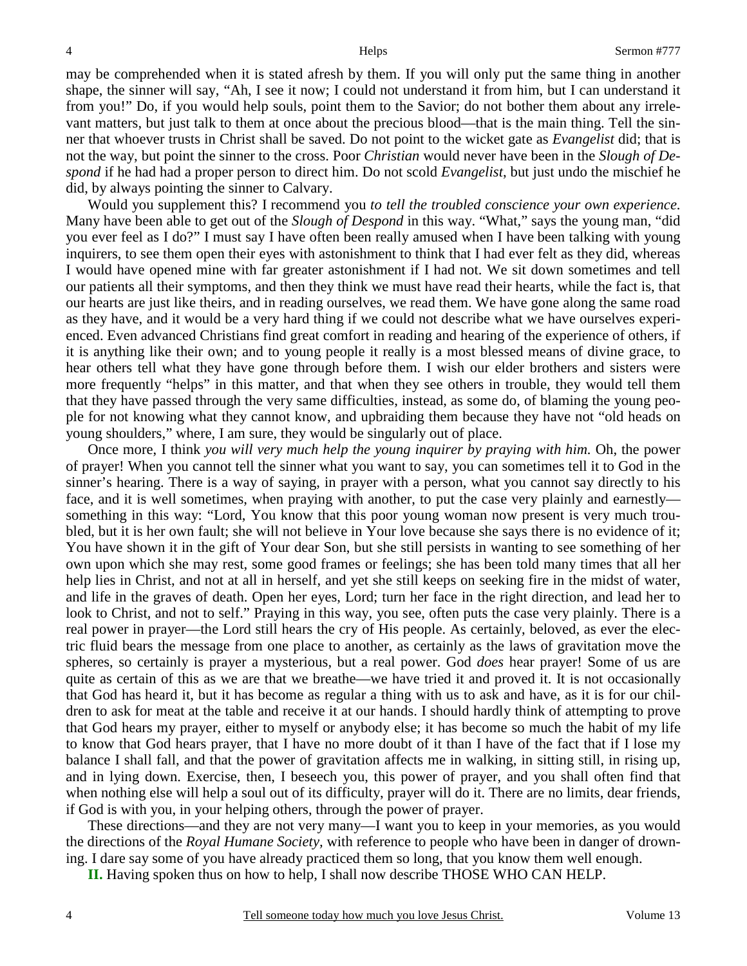may be comprehended when it is stated afresh by them. If you will only put the same thing in another shape, the sinner will say, "Ah, I see it now; I could not understand it from him, but I can understand it from you!" Do, if you would help souls, point them to the Savior; do not bother them about any irrelevant matters, but just talk to them at once about the precious blood—that is the main thing. Tell the sinner that whoever trusts in Christ shall be saved. Do not point to the wicket gate as *Evangelist* did; that is not the way, but point the sinner to the cross. Poor *Christian* would never have been in the *Slough of Despond* if he had had a proper person to direct him. Do not scold *Evangelist*, but just undo the mischief he did, by always pointing the sinner to Calvary.

 Would you supplement this? I recommend you *to tell the troubled conscience your own experience.* Many have been able to get out of the *Slough of Despond* in this way. "What," says the young man, "did you ever feel as I do?" I must say I have often been really amused when I have been talking with young inquirers, to see them open their eyes with astonishment to think that I had ever felt as they did, whereas I would have opened mine with far greater astonishment if I had not. We sit down sometimes and tell our patients all their symptoms, and then they think we must have read their hearts, while the fact is, that our hearts are just like theirs, and in reading ourselves, we read them. We have gone along the same road as they have, and it would be a very hard thing if we could not describe what we have ourselves experienced. Even advanced Christians find great comfort in reading and hearing of the experience of others, if it is anything like their own; and to young people it really is a most blessed means of divine grace, to hear others tell what they have gone through before them. I wish our elder brothers and sisters were more frequently "helps" in this matter, and that when they see others in trouble, they would tell them that they have passed through the very same difficulties, instead, as some do, of blaming the young people for not knowing what they cannot know, and upbraiding them because they have not "old heads on young shoulders," where, I am sure, they would be singularly out of place.

 Once more, I think *you will very much help the young inquirer by praying with him.* Oh, the power of prayer! When you cannot tell the sinner what you want to say, you can sometimes tell it to God in the sinner's hearing. There is a way of saying, in prayer with a person, what you cannot say directly to his face, and it is well sometimes, when praying with another, to put the case very plainly and earnestly something in this way: "Lord, You know that this poor young woman now present is very much troubled, but it is her own fault; she will not believe in Your love because she says there is no evidence of it; You have shown it in the gift of Your dear Son, but she still persists in wanting to see something of her own upon which she may rest, some good frames or feelings; she has been told many times that all her help lies in Christ, and not at all in herself, and yet she still keeps on seeking fire in the midst of water, and life in the graves of death. Open her eyes, Lord; turn her face in the right direction, and lead her to look to Christ, and not to self." Praying in this way, you see, often puts the case very plainly. There is a real power in prayer—the Lord still hears the cry of His people. As certainly, beloved, as ever the electric fluid bears the message from one place to another, as certainly as the laws of gravitation move the spheres, so certainly is prayer a mysterious, but a real power. God *does* hear prayer! Some of us are quite as certain of this as we are that we breathe—we have tried it and proved it. It is not occasionally that God has heard it, but it has become as regular a thing with us to ask and have, as it is for our children to ask for meat at the table and receive it at our hands. I should hardly think of attempting to prove that God hears my prayer, either to myself or anybody else; it has become so much the habit of my life to know that God hears prayer, that I have no more doubt of it than I have of the fact that if I lose my balance I shall fall, and that the power of gravitation affects me in walking, in sitting still, in rising up, and in lying down. Exercise, then, I beseech you, this power of prayer, and you shall often find that when nothing else will help a soul out of its difficulty, prayer will do it. There are no limits, dear friends, if God is with you, in your helping others, through the power of prayer.

 These directions—and they are not very many—I want you to keep in your memories, as you would the directions of the *Royal Humane Society,* with reference to people who have been in danger of drowning. I dare say some of you have already practiced them so long, that you know them well enough.

**II.** Having spoken thus on how to help, I shall now describe THOSE WHO CAN HELP.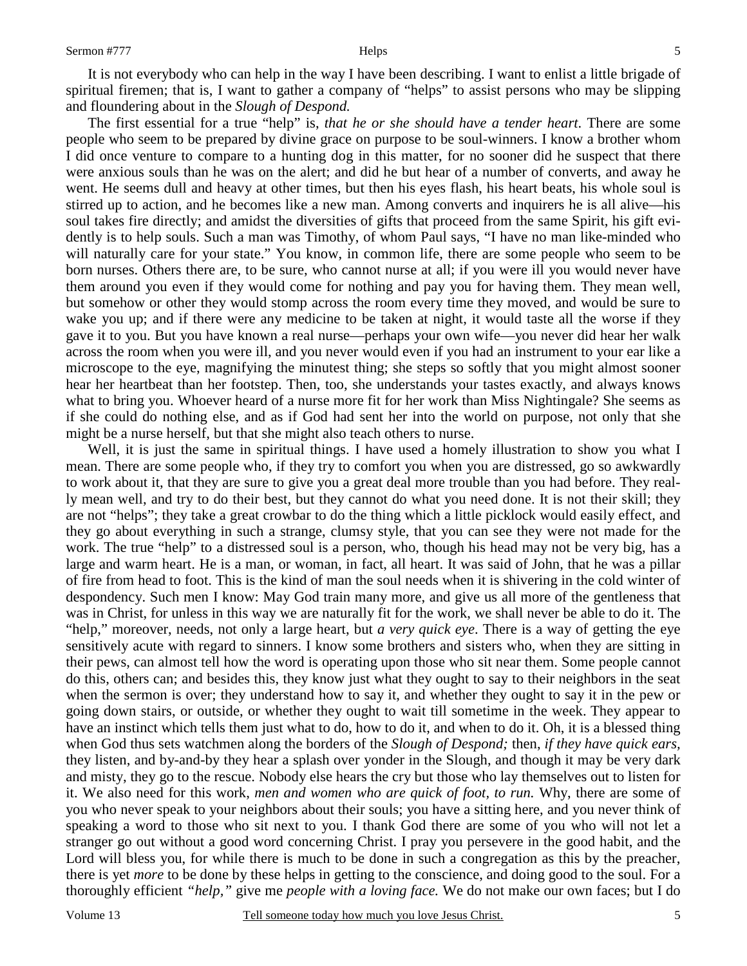It is not everybody who can help in the way I have been describing. I want to enlist a little brigade of spiritual firemen; that is, I want to gather a company of "helps" to assist persons who may be slipping and floundering about in the *Slough of Despond.*

 The first essential for a true "help" is, *that he or she should have a tender heart*. There are some people who seem to be prepared by divine grace on purpose to be soul-winners. I know a brother whom I did once venture to compare to a hunting dog in this matter, for no sooner did he suspect that there were anxious souls than he was on the alert; and did he but hear of a number of converts, and away he went. He seems dull and heavy at other times, but then his eyes flash, his heart beats, his whole soul is stirred up to action, and he becomes like a new man. Among converts and inquirers he is all alive—his soul takes fire directly; and amidst the diversities of gifts that proceed from the same Spirit, his gift evidently is to help souls. Such a man was Timothy, of whom Paul says, "I have no man like-minded who will naturally care for your state." You know, in common life, there are some people who seem to be born nurses. Others there are, to be sure, who cannot nurse at all; if you were ill you would never have them around you even if they would come for nothing and pay you for having them. They mean well, but somehow or other they would stomp across the room every time they moved, and would be sure to wake you up; and if there were any medicine to be taken at night, it would taste all the worse if they gave it to you. But you have known a real nurse—perhaps your own wife—you never did hear her walk across the room when you were ill, and you never would even if you had an instrument to your ear like a microscope to the eye, magnifying the minutest thing; she steps so softly that you might almost sooner hear her heartbeat than her footstep. Then, too, she understands your tastes exactly, and always knows what to bring you. Whoever heard of a nurse more fit for her work than Miss Nightingale? She seems as if she could do nothing else, and as if God had sent her into the world on purpose, not only that she might be a nurse herself, but that she might also teach others to nurse.

Well, it is just the same in spiritual things. I have used a homely illustration to show you what I mean. There are some people who, if they try to comfort you when you are distressed, go so awkwardly to work about it, that they are sure to give you a great deal more trouble than you had before. They really mean well, and try to do their best, but they cannot do what you need done. It is not their skill; they are not "helps"; they take a great crowbar to do the thing which a little picklock would easily effect, and they go about everything in such a strange, clumsy style, that you can see they were not made for the work. The true "help" to a distressed soul is a person, who, though his head may not be very big, has a large and warm heart. He is a man, or woman, in fact, all heart. It was said of John, that he was a pillar of fire from head to foot. This is the kind of man the soul needs when it is shivering in the cold winter of despondency. Such men I know: May God train many more, and give us all more of the gentleness that was in Christ, for unless in this way we are naturally fit for the work, we shall never be able to do it. The "help," moreover, needs, not only a large heart, but *a very quick eye*. There is a way of getting the eye sensitively acute with regard to sinners. I know some brothers and sisters who, when they are sitting in their pews, can almost tell how the word is operating upon those who sit near them. Some people cannot do this, others can; and besides this, they know just what they ought to say to their neighbors in the seat when the sermon is over; they understand how to say it, and whether they ought to say it in the pew or going down stairs, or outside, or whether they ought to wait till sometime in the week. They appear to have an instinct which tells them just what to do, how to do it, and when to do it. Oh, it is a blessed thing when God thus sets watchmen along the borders of the *Slough of Despond;* then, *if they have quick ears,* they listen, and by-and-by they hear a splash over yonder in the Slough, and though it may be very dark and misty, they go to the rescue. Nobody else hears the cry but those who lay themselves out to listen for it. We also need for this work, *men and women who are quick of foot, to run.* Why, there are some of you who never speak to your neighbors about their souls; you have a sitting here, and you never think of speaking a word to those who sit next to you. I thank God there are some of you who will not let a stranger go out without a good word concerning Christ. I pray you persevere in the good habit, and the Lord will bless you, for while there is much to be done in such a congregation as this by the preacher, there is yet *more* to be done by these helps in getting to the conscience, and doing good to the soul. For a thoroughly efficient *"help,"* give me *people with a loving face.* We do not make our own faces; but I do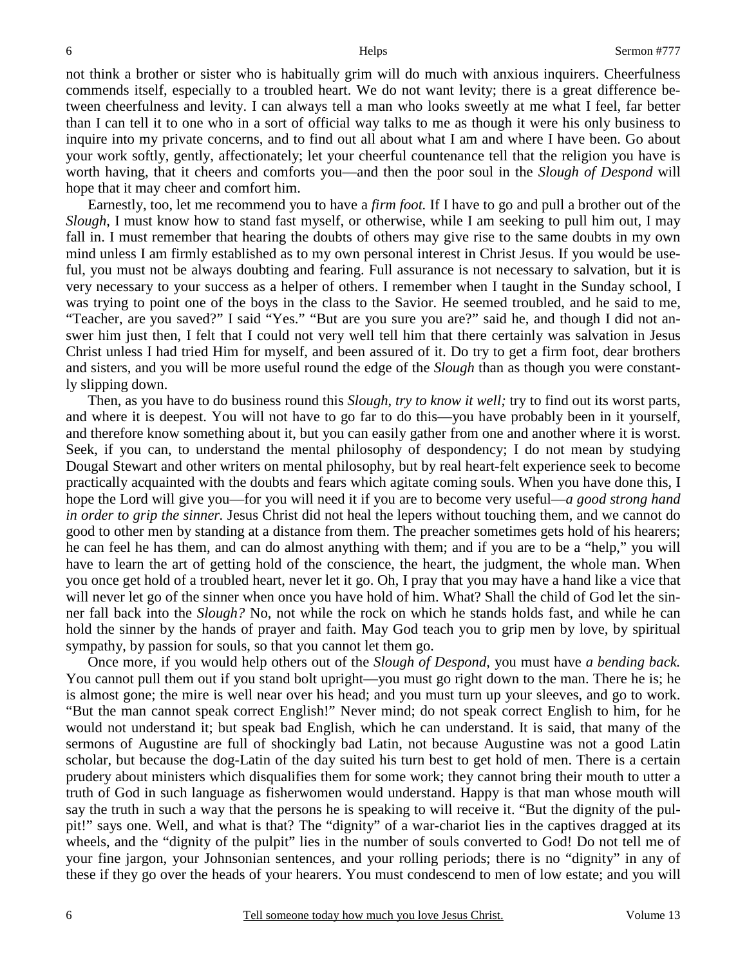not think a brother or sister who is habitually grim will do much with anxious inquirers. Cheerfulness commends itself, especially to a troubled heart. We do not want levity; there is a great difference between cheerfulness and levity. I can always tell a man who looks sweetly at me what I feel, far better than I can tell it to one who in a sort of official way talks to me as though it were his only business to inquire into my private concerns, and to find out all about what I am and where I have been. Go about your work softly, gently, affectionately; let your cheerful countenance tell that the religion you have is worth having, that it cheers and comforts you—and then the poor soul in the *Slough of Despond* will hope that it may cheer and comfort him.

 Earnestly, too, let me recommend you to have a *firm foot.* If I have to go and pull a brother out of the *Slough*, I must know how to stand fast myself, or otherwise, while I am seeking to pull him out, I may fall in. I must remember that hearing the doubts of others may give rise to the same doubts in my own mind unless I am firmly established as to my own personal interest in Christ Jesus. If you would be useful, you must not be always doubting and fearing. Full assurance is not necessary to salvation, but it is very necessary to your success as a helper of others. I remember when I taught in the Sunday school, I was trying to point one of the boys in the class to the Savior. He seemed troubled, and he said to me, "Teacher, are you saved?" I said "Yes." "But are you sure you are?" said he, and though I did not answer him just then, I felt that I could not very well tell him that there certainly was salvation in Jesus Christ unless I had tried Him for myself, and been assured of it. Do try to get a firm foot, dear brothers and sisters, and you will be more useful round the edge of the *Slough* than as though you were constantly slipping down.

 Then, as you have to do business round this *Slough*, *try to know it well;* try to find out its worst parts, and where it is deepest. You will not have to go far to do this—you have probably been in it yourself, and therefore know something about it, but you can easily gather from one and another where it is worst. Seek, if you can, to understand the mental philosophy of despondency; I do not mean by studying Dougal Stewart and other writers on mental philosophy, but by real heart-felt experience seek to become practically acquainted with the doubts and fears which agitate coming souls. When you have done this, I hope the Lord will give you—for you will need it if you are to become very useful—*a good strong hand in order to grip the sinner.* Jesus Christ did not heal the lepers without touching them, and we cannot do good to other men by standing at a distance from them. The preacher sometimes gets hold of his hearers; he can feel he has them, and can do almost anything with them; and if you are to be a "help," you will have to learn the art of getting hold of the conscience, the heart, the judgment, the whole man. When you once get hold of a troubled heart, never let it go. Oh, I pray that you may have a hand like a vice that will never let go of the sinner when once you have hold of him. What? Shall the child of God let the sinner fall back into the *Slough?* No, not while the rock on which he stands holds fast, and while he can hold the sinner by the hands of prayer and faith. May God teach you to grip men by love, by spiritual sympathy, by passion for souls, so that you cannot let them go.

 Once more, if you would help others out of the *Slough of Despond,* you must have *a bending back.* You cannot pull them out if you stand bolt upright—you must go right down to the man. There he is; he is almost gone; the mire is well near over his head; and you must turn up your sleeves, and go to work. "But the man cannot speak correct English!" Never mind; do not speak correct English to him, for he would not understand it; but speak bad English, which he can understand. It is said, that many of the sermons of Augustine are full of shockingly bad Latin, not because Augustine was not a good Latin scholar, but because the dog-Latin of the day suited his turn best to get hold of men. There is a certain prudery about ministers which disqualifies them for some work; they cannot bring their mouth to utter a truth of God in such language as fisherwomen would understand. Happy is that man whose mouth will say the truth in such a way that the persons he is speaking to will receive it. "But the dignity of the pulpit!" says one. Well, and what is that? The "dignity" of a war-chariot lies in the captives dragged at its wheels, and the "dignity of the pulpit" lies in the number of souls converted to God! Do not tell me of your fine jargon, your Johnsonian sentences, and your rolling periods; there is no "dignity" in any of these if they go over the heads of your hearers. You must condescend to men of low estate; and you will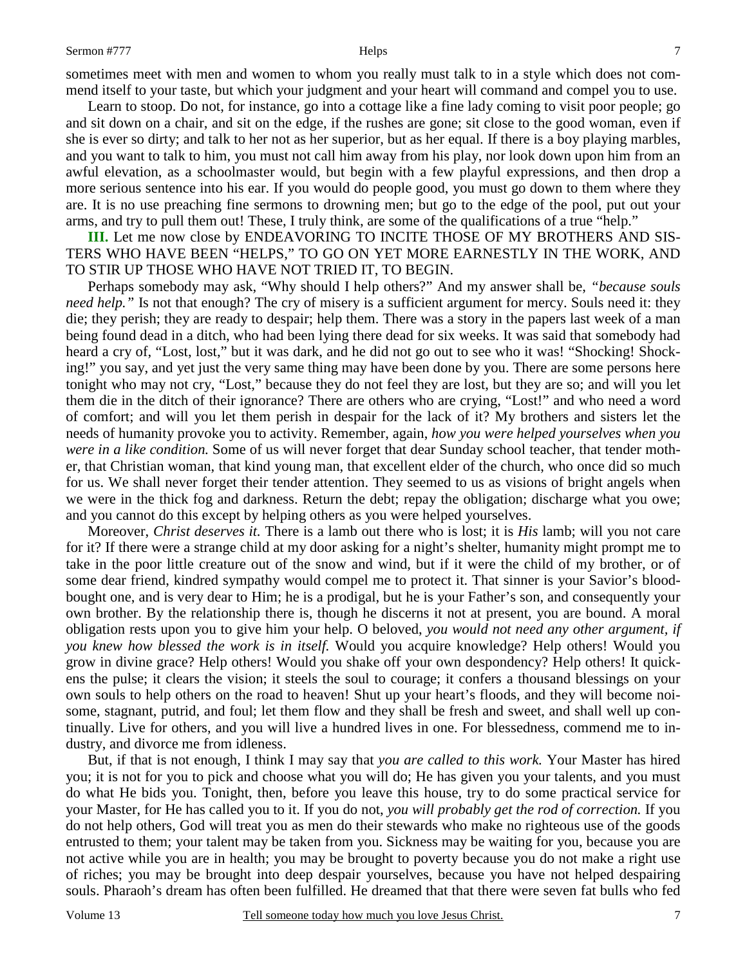sometimes meet with men and women to whom you really must talk to in a style which does not commend itself to your taste, but which your judgment and your heart will command and compel you to use.

 Learn to stoop. Do not, for instance, go into a cottage like a fine lady coming to visit poor people; go and sit down on a chair, and sit on the edge, if the rushes are gone; sit close to the good woman, even if she is ever so dirty; and talk to her not as her superior, but as her equal. If there is a boy playing marbles, and you want to talk to him, you must not call him away from his play, nor look down upon him from an awful elevation, as a schoolmaster would, but begin with a few playful expressions, and then drop a more serious sentence into his ear. If you would do people good, you must go down to them where they are. It is no use preaching fine sermons to drowning men; but go to the edge of the pool, put out your arms, and try to pull them out! These, I truly think, are some of the qualifications of a true "help."

**III.** Let me now close by ENDEAVORING TO INCITE THOSE OF MY BROTHERS AND SIS-TERS WHO HAVE BEEN "HELPS," TO GO ON YET MORE EARNESTLY IN THE WORK, AND TO STIR UP THOSE WHO HAVE NOT TRIED IT, TO BEGIN.

 Perhaps somebody may ask, "Why should I help others?" And my answer shall be, *"because souls need help.*" Is not that enough? The cry of misery is a sufficient argument for mercy. Souls need it: they die; they perish; they are ready to despair; help them. There was a story in the papers last week of a man being found dead in a ditch, who had been lying there dead for six weeks. It was said that somebody had heard a cry of, "Lost, lost," but it was dark, and he did not go out to see who it was! "Shocking! Shocking!" you say, and yet just the very same thing may have been done by you. There are some persons here tonight who may not cry, "Lost," because they do not feel they are lost, but they are so; and will you let them die in the ditch of their ignorance? There are others who are crying, "Lost!" and who need a word of comfort; and will you let them perish in despair for the lack of it? My brothers and sisters let the needs of humanity provoke you to activity. Remember, again, *how you were helped yourselves when you were in a like condition.* Some of us will never forget that dear Sunday school teacher, that tender mother, that Christian woman, that kind young man, that excellent elder of the church, who once did so much for us. We shall never forget their tender attention. They seemed to us as visions of bright angels when we were in the thick fog and darkness. Return the debt; repay the obligation; discharge what you owe; and you cannot do this except by helping others as you were helped yourselves.

 Moreover, *Christ deserves it.* There is a lamb out there who is lost; it is *His* lamb; will you not care for it? If there were a strange child at my door asking for a night's shelter, humanity might prompt me to take in the poor little creature out of the snow and wind, but if it were the child of my brother, or of some dear friend, kindred sympathy would compel me to protect it. That sinner is your Savior's bloodbought one, and is very dear to Him; he is a prodigal, but he is your Father's son, and consequently your own brother. By the relationship there is, though he discerns it not at present, you are bound. A moral obligation rests upon you to give him your help. O beloved, *you would not need any other argument, if you knew how blessed the work is in itself.* Would you acquire knowledge? Help others! Would you grow in divine grace? Help others! Would you shake off your own despondency? Help others! It quickens the pulse; it clears the vision; it steels the soul to courage; it confers a thousand blessings on your own souls to help others on the road to heaven! Shut up your heart's floods, and they will become noisome, stagnant, putrid, and foul; let them flow and they shall be fresh and sweet, and shall well up continually. Live for others, and you will live a hundred lives in one. For blessedness, commend me to industry, and divorce me from idleness.

 But, if that is not enough, I think I may say that *you are called to this work.* Your Master has hired you; it is not for you to pick and choose what you will do; He has given you your talents, and you must do what He bids you. Tonight, then, before you leave this house, try to do some practical service for your Master, for He has called you to it. If you do not, *you will probably get the rod of correction.* If you do not help others, God will treat you as men do their stewards who make no righteous use of the goods entrusted to them; your talent may be taken from you. Sickness may be waiting for you, because you are not active while you are in health; you may be brought to poverty because you do not make a right use of riches; you may be brought into deep despair yourselves, because you have not helped despairing souls. Pharaoh's dream has often been fulfilled. He dreamed that that there were seven fat bulls who fed